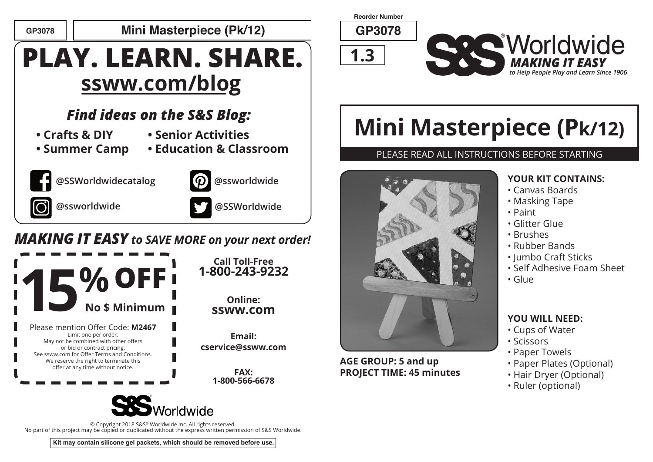

**GP3078 GP3078 Mini Masterpiece (Pk/12)**

## **PLAY. LEARN. SHARE. ssww.com/blog**

## *Find ideas on the S&S Blog:*

- **Crafts & DIY**
- **Senior Activities**
- **Summer Camp**









**@ssworldwide .**



**@SSWorldwide**

## *MAKING IT EASY to SAVE MORE on your next order!*



**Call Toll-Free 1-800-243-9232**

#### **Online: ssww.com**

**Email: cservice@ssww.com**

> **FAX: 1-800-566-6678**



© Copyright 2018 S&S® Worldwide Inc. All rights reserved. No part of this project may be copied or duplicated without the express written permission of S&S Worldwide.

**Kit may contain silicone gel packets, which should be removed before use.**

**Reorder Number**





# **Mini Masterpiece (Pk/12)**

#### PLEASE READ ALL INSTRUCTIONS BEFORE STARTING



**AGE GROUP: 5 and up PROJECT TIME: 45 minutes**

#### **YOUR KIT CONTAINS:**

- Canvas Boards
- Masking Tape
- Paint
- Glitter Glue
- Brushes
- Rubber Bands
- Jumbo Craft Sticks
- Self Adhesive Foam Sheet
- Glue

#### **YOU WILL NEED:**

- Cups of Water
- Scissors
- Paper Towels
- Paper Plates (Optional)
- Hair Dryer (Optional)
- Ruler (optional)